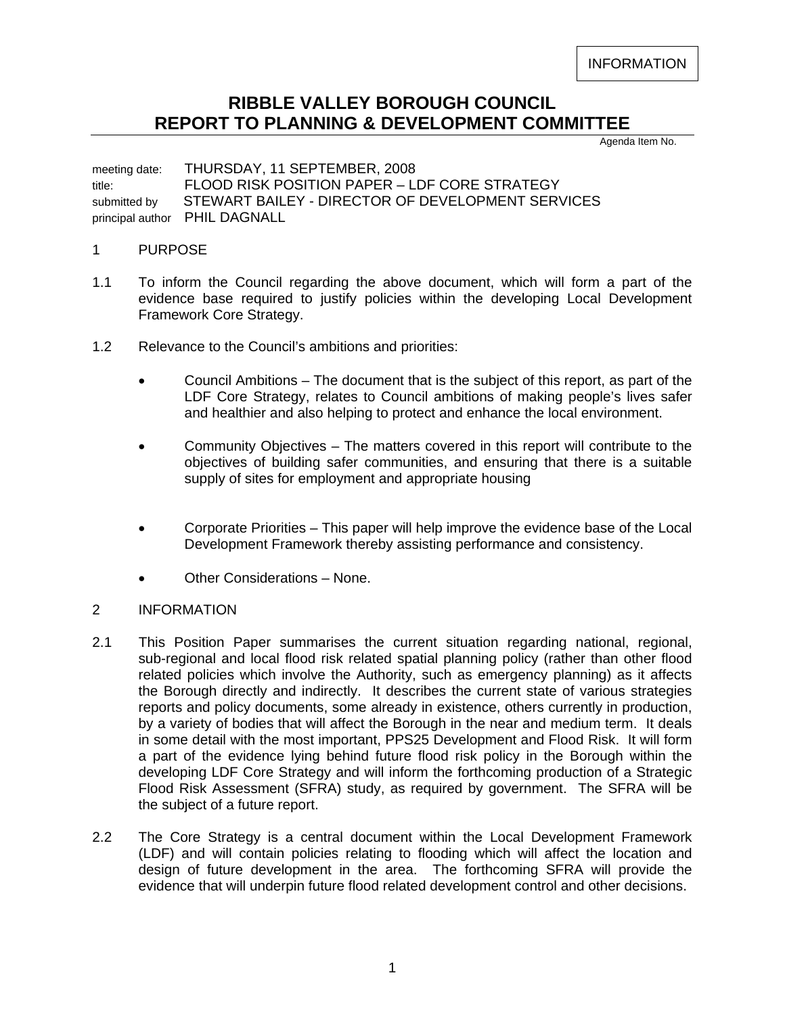INFORMATION

## **RIBBLE VALLEY BOROUGH COUNCIL REPORT TO PLANNING & DEVELOPMENT COMMITTEE**

Agenda Item No.

meeting date: THURSDAY, 11 SEPTEMBER, 2008 title: FLOOD RISK POSITION PAPER – LDF CORE STRATEGY submitted by STEWART BAILEY - DIRECTOR OF DEVELOPMENT SERVICES principal author PHIL DAGNALL

## 1 PURPOSE

- 1.1 To inform the Council regarding the above document, which will form a part of the evidence base required to justify policies within the developing Local Development Framework Core Strategy.
- 1.2 Relevance to the Council's ambitions and priorities:
	- Council Ambitions The document that is the subject of this report, as part of the LDF Core Strategy, relates to Council ambitions of making people's lives safer and healthier and also helping to protect and enhance the local environment.
	- Community Objectives The matters covered in this report will contribute to the objectives of building safer communities, and ensuring that there is a suitable supply of sites for employment and appropriate housing
	- Corporate Priorities This paper will help improve the evidence base of the Local Development Framework thereby assisting performance and consistency.
	- Other Considerations None.

## 2 INFORMATION

- 2.1 This Position Paper summarises the current situation regarding national, regional, sub-regional and local flood risk related spatial planning policy (rather than other flood related policies which involve the Authority, such as emergency planning) as it affects the Borough directly and indirectly. It describes the current state of various strategies reports and policy documents, some already in existence, others currently in production, by a variety of bodies that will affect the Borough in the near and medium term. It deals in some detail with the most important, PPS25 Development and Flood Risk. It will form a part of the evidence lying behind future flood risk policy in the Borough within the developing LDF Core Strategy and will inform the forthcoming production of a Strategic Flood Risk Assessment (SFRA) study, as required by government. The SFRA will be the subject of a future report.
- 2.2 The Core Strategy is a central document within the Local Development Framework (LDF) and will contain policies relating to flooding which will affect the location and design of future development in the area. The forthcoming SFRA will provide the evidence that will underpin future flood related development control and other decisions.